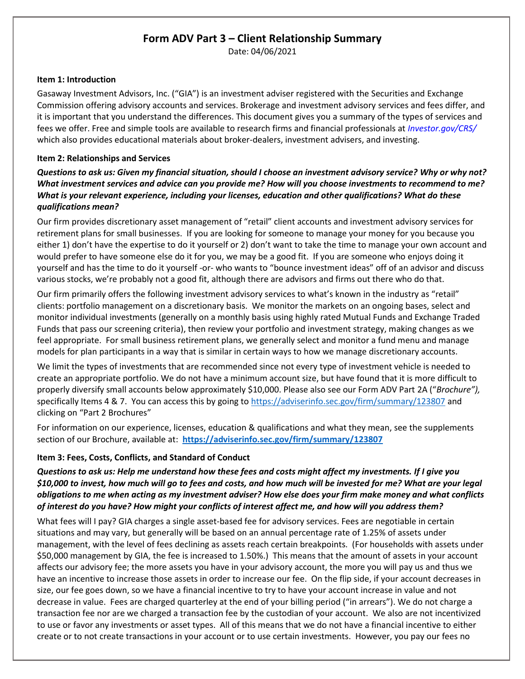# **Form ADV Part 3 – Client Relationship Summary**

Date: 04/06/2021

#### **Item 1: Introduction**

Gasaway Investment Advisors, Inc. ("GIA") is an investment adviser registered with the Securities and Exchange Commission offering advisory accounts and services. Brokerage and investment advisory services and fees differ, and it is important that you understand the differences. This document gives you a summary of the types of services and fees we offer. Free and simple tools are available to research firms and financial professionals at *Investor.gov/CRS/* which also provides educational materials about broker-dealers, investment advisers, and investing.

#### **Item 2: Relationships and Services**

*Questions to ask us: Given my financial situation, should I choose an investment advisory service? Why or why not? What investment services and advice can you provide me? How will you choose investments to recommend to me? What is your relevant experience, including your licenses, education and other qualifications? What do these qualifications mean?*

Our firm provides discretionary asset management of "retail" client accounts and investment advisory services for retirement plans for small businesses. If you are looking for someone to manage your money for you because you either 1) don't have the expertise to do it yourself or 2) don't want to take the time to manage your own account and would prefer to have someone else do it for you, we may be a good fit. If you are someone who enjoys doing it yourself and has the time to do it yourself -or- who wants to "bounce investment ideas" off of an advisor and discuss various stocks, we're probably not a good fit, although there are advisors and firms out there who do that.

Our firm primarily offers the following investment advisory services to what's known in the industry as "retail" clients: portfolio management on a discretionary basis. We monitor the markets on an ongoing bases, select and monitor individual investments (generally on a monthly basis using highly rated Mutual Funds and Exchange Traded Funds that pass our screening criteria), then review your portfolio and investment strategy, making changes as we feel appropriate. For small business retirement plans, we generally select and monitor a fund menu and manage models for plan participants in a way that is similar in certain ways to how we manage discretionary accounts.

We limit the types of investments that are recommended since not every type of investment vehicle is needed to create an appropriate portfolio. We do not have a minimum account size, but have found that it is more difficult to properly diversify small accounts below approximately \$10,000. Please also see our Form ADV Part 2A ("*Brochure"),*  specifically Items 4 & 7. You can access this by going to<https://adviserinfo.sec.gov/firm/summary/123807> and clicking on "Part 2 Brochures"

For information on our experience, licenses, education & qualifications and what they mean, see the supplements section of our Brochure, available at: **<https://adviserinfo.sec.gov/firm/summary/123807>**

### **Item 3: Fees, Costs, Conflicts, and Standard of Conduct**

*Questions to ask us: Help me understand how these fees and costs might affect my investments. If I give you \$10,000 to invest, how much will go to fees and costs, and how much will be invested for me? What are your legal obligations to me when acting as my investment adviser? How else does your firm make money and what conflicts of interest do you have? How might your conflicts of interest affect me, and how will you address them?*

What fees will I pay? GIA charges a single asset-based fee for advisory services. Fees are negotiable in certain situations and may vary, but generally will be based on an annual percentage rate of 1.25% of assets under management, with the level of fees declining as assets reach certain breakpoints. (For households with assets under \$50,000 management by GIA, the fee is increased to 1.50%.) This means that the amount of assets in your account affects our advisory fee; the more assets you have in your advisory account, the more you will pay us and thus we have an incentive to increase those assets in order to increase our fee. On the flip side, if your account decreases in size, our fee goes down, so we have a financial incentive to try to have your account increase in value and not decrease in value. Fees are charged quarterley at the end of your billing period ("in arrears"). We do not charge a transaction fee nor are we charged a transaction fee by the custodian of your account. We also are not incentivized to use or favor any investments or asset types. All of this means that we do not have a financial incentive to either create or to not create transactions in your account or to use certain investments. However, you pay our fees no